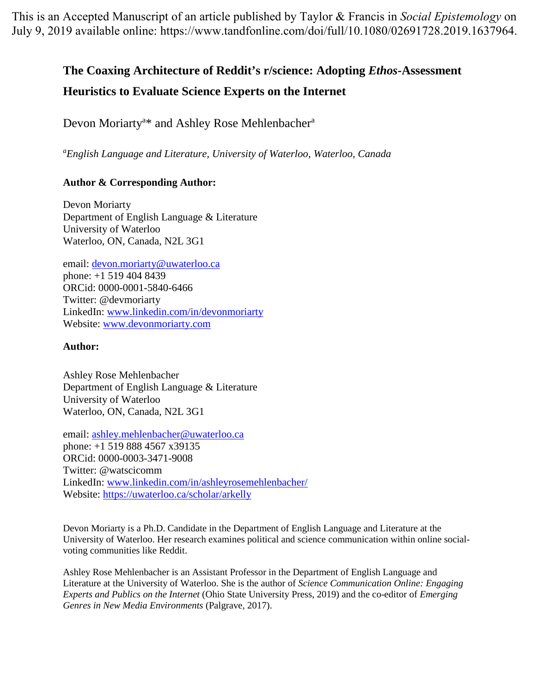This is an Accepted Manuscript of an article published by Taylor & Francis in *Social Epistemology* on July 9, 2019 available online: [https://www.tandfonline.com/doi/full/10.1080/02691728.2019.1637964.](https://www.tandfonline.com/doi/full/10.1080/02691728.2019.1637964)

# **The Coaxing Architecture of Reddit's r/science: Adopting** *Ethos***-Assessment**

# **Heuristics to Evaluate Science Experts on the Internet**

Devon Moriarty<sup>a\*</sup> and Ashley Rose Mehlenbacher<sup>a</sup>

*a English Language and Literature, University of Waterloo, Waterloo, Canada* 

# **Author & Corresponding Author:**

Devon Moriarty Department of English Language & Literature University of Waterloo Waterloo, ON, Canada, N2L 3G1

email: [devon.moriarty@uwaterloo.ca](mailto:devon.moriarty@uwaterloo.ca)  phone: +1 519 404 8439 ORCid: 0000-0001-5840-6466 Twitter: @devmoriarty LinkedIn: [www.linkedin.com/in/devonmoriarty](http://www.linkedin.com/in/devonmoriarty) Website: [www.devonmoriarty.com](http://www.devonmoriarty.com/)

## **Author:**

Ashley Rose Mehlenbacher Department of English Language & Literature University of Waterloo Waterloo, ON, Canada, N2L 3G1

email: [ashley.mehlenbacher@uwaterloo.ca](mailto:ashley.mehlenbacher@uwaterloo.ca)  phone: +1 519 888 4567 x39135 ORCid: 0000-0003-3471-9008 Twitter: @watscicomm LinkedIn: [www.linkedin.com/in/ashleyrosemehlenbacher/](http://www.linkedin.com/in/ashleyrosemehlenbacher/) Website:<https://uwaterloo.ca/scholar/arkelly>

Devon Moriarty is a Ph.D. Candidate in the Department of English Language and Literature at the University of Waterloo. Her research examines political and science communication within online socialvoting communities like Reddit.

Ashley Rose Mehlenbacher is an Assistant Professor in the Department of English Language and Literature at the University of Waterloo. She is the author of *Science Communication Online: Engaging Experts and Publics on the Internet* (Ohio State University Press, 2019) and the co-editor of *Emerging Genres in New Media Environments* (Palgrave, 2017).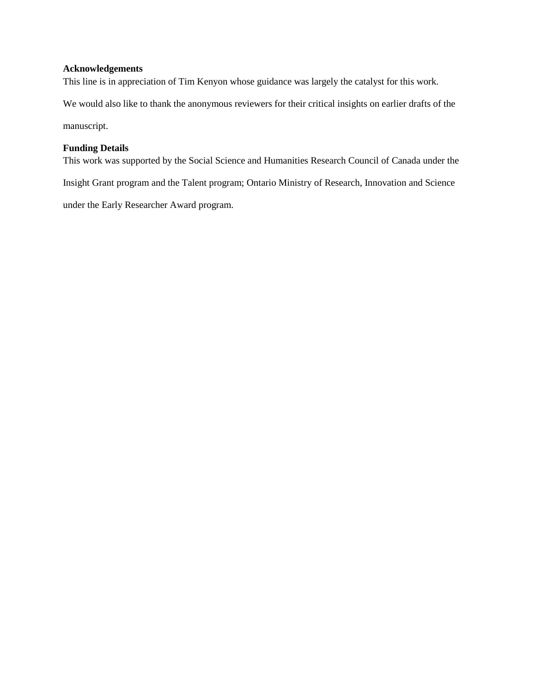#### **Acknowledgements**

This line is in appreciation of Tim Kenyon whose guidance was largely the catalyst for this work.

We would also like to thank the anonymous reviewers for their critical insights on earlier drafts of the

manuscript.

### **Funding Details**

This work was supported by the Social Science and Humanities Research Council of Canada under the

Insight Grant program and the Talent program; Ontario Ministry of Research, Innovation and Science

under the Early Researcher Award program.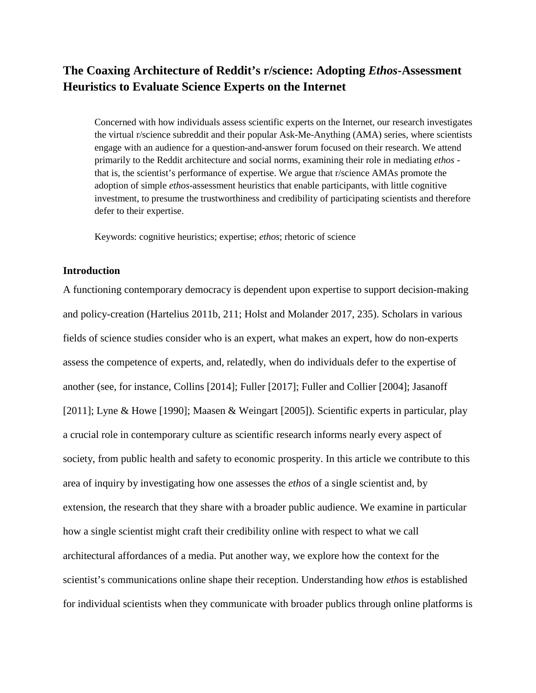# **The Coaxing Architecture of Reddit's r/science: Adopting** *Ethos***-Assessment Heuristics to Evaluate Science Experts on the Internet**

Concerned with how individuals assess scientific experts on the Internet, our research investigates the virtual r/science subreddit and their popular Ask-Me-Anything (AMA) series, where scientists engage with an audience for a question-and-answer forum focused on their research. We attend primarily to the Reddit architecture and social norms, examining their role in mediating *ethos* that is, the scientist's performance of expertise. We argue that r/science AMAs promote the adoption of simple *ethos*-assessment heuristics that enable participants, with little cognitive investment, to presume the trustworthiness and credibility of participating scientists and therefore defer to their expertise.

Keywords: cognitive heuristics; expertise; *ethos*; rhetoric of science

### **Introduction**

A functioning contemporary democracy is dependent upon expertise to support decision-making and policy-creation (Hartelius 2011b, 211; Holst and Molander 2017, 235). Scholars in various fields of science studies consider who is an expert, what makes an expert, how do non-experts assess the competence of experts, and, relatedly, when do individuals defer to the expertise of another (see, for instance, Collins [2014]; Fuller [2017]; Fuller and Collier [2004]; Jasanoff [2011]; Lyne & Howe [1990]; Maasen & Weingart [2005]). Scientific experts in particular, play a crucial role in contemporary culture as scientific research informs nearly every aspect of society, from public health and safety to economic prosperity. In this article we contribute to this area of inquiry by investigating how one assesses the *ethos* of a single scientist and, by extension, the research that they share with a broader public audience. We examine in particular how a single scientist might craft their credibility online with respect to what we call architectural affordances of a media. Put another way, we explore how the context for the scientist's communications online shape their reception. Understanding how *ethos* is established for individual scientists when they communicate with broader publics through online platforms is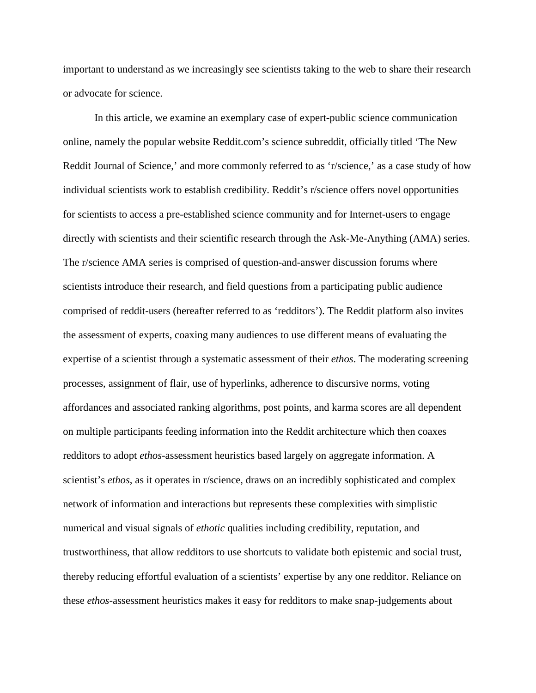important to understand as we increasingly see scientists taking to the web to share their research or advocate for science.

In this article, we examine an exemplary case of expert-public science communication online, namely the popular website Reddit.com's science subreddit, officially titled 'The New Reddit Journal of Science,' and more commonly referred to as 'r/science,' as a case study of how individual scientists work to establish credibility. Reddit's r/science offers novel opportunities for scientists to access a pre-established science community and for Internet-users to engage directly with scientists and their scientific research through the Ask-Me-Anything (AMA) series. The r/science AMA series is comprised of question-and-answer discussion forums where scientists introduce their research, and field questions from a participating public audience comprised of reddit-users (hereafter referred to as 'redditors'). The Reddit platform also invites the assessment of experts, coaxing many audiences to use different means of evaluating the expertise of a scientist through a systematic assessment of their *ethos*. The moderating screening processes, assignment of flair, use of hyperlinks, adherence to discursive norms, voting affordances and associated ranking algorithms, post points, and karma scores are all dependent on multiple participants feeding information into the Reddit architecture which then coaxes redditors to adopt *ethos*-assessment heuristics based largely on aggregate information. A scientist's *ethos*, as it operates in r/science, draws on an incredibly sophisticated and complex network of information and interactions but represents these complexities with simplistic numerical and visual signals of *ethotic* qualities including credibility, reputation, and trustworthiness, that allow redditors to use shortcuts to validate both epistemic and social trust, thereby reducing effortful evaluation of a scientists' expertise by any one redditor. Reliance on these *ethos*-assessment heuristics makes it easy for redditors to make snap-judgements about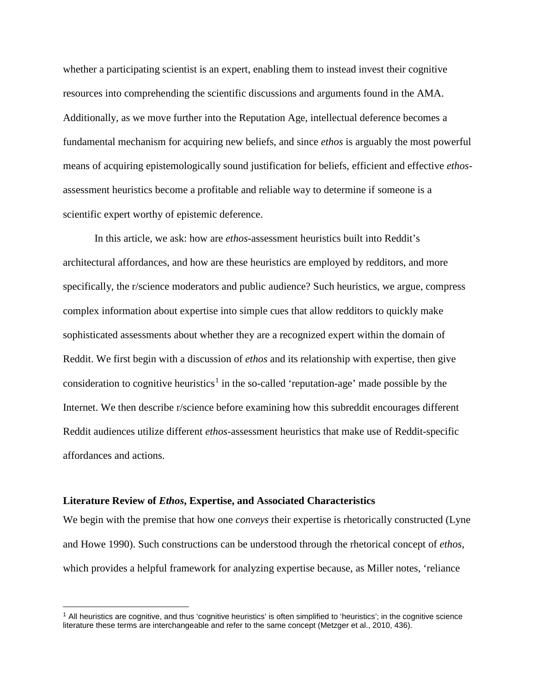whether a participating scientist is an expert, enabling them to instead invest their cognitive resources into comprehending the scientific discussions and arguments found in the AMA. Additionally, as we move further into the Reputation Age, intellectual deference becomes a fundamental mechanism for acquiring new beliefs, and since *ethos* is arguably the most powerful means of acquiring epistemologically sound justification for beliefs, efficient and effective *ethos*assessment heuristics become a profitable and reliable way to determine if someone is a scientific expert worthy of epistemic deference.

In this article, we ask: how are *ethos*-assessment heuristics built into Reddit's architectural affordances, and how are these heuristics are employed by redditors, and more specifically, the r/science moderators and public audience? Such heuristics, we argue, compress complex information about expertise into simple cues that allow redditors to quickly make sophisticated assessments about whether they are a recognized expert within the domain of Reddit. We first begin with a discussion of *ethos* and its relationship with expertise, then give consideration to cognitive heuristics<sup>[1](#page-4-0)</sup> in the so-called 'reputation-age' made possible by the Internet. We then describe r/science before examining how this subreddit encourages different Reddit audiences utilize different *ethos*-assessment heuristics that make use of Reddit-specific affordances and actions.

#### **Literature Review of** *Ethos***, Expertise, and Associated Characteristics**

We begin with the premise that how one *conveys* their expertise is rhetorically constructed (Lyne and Howe 1990). Such constructions can be understood through the rhetorical concept of *ethos,*  which provides a helpful framework for analyzing expertise because, as Miller notes, 'reliance

<span id="page-4-0"></span> $<sup>1</sup>$  All heuristics are cognitive, and thus 'cognitive heuristics' is often simplified to 'heuristics'; in the cognitive science</sup> literature these terms are interchangeable and refer to the same concept (Metzger et al., 2010, 436).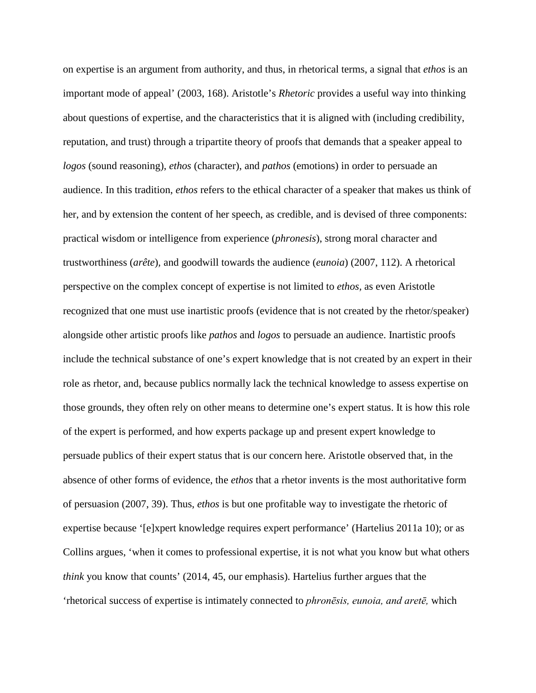on expertise is an argument from authority, and thus, in rhetorical terms, a signal that *ethos* is an important mode of appeal' (2003, 168). Aristotle's *Rhetoric* provides a useful way into thinking about questions of expertise, and the characteristics that it is aligned with (including credibility, reputation, and trust) through a tripartite theory of proofs that demands that a speaker appeal to *logos* (sound reasoning), *ethos* (character), and *pathos* (emotions) in order to persuade an audience. In this tradition, *ethos* refers to the ethical character of a speaker that makes us think of her, and by extension the content of her speech, as credible, and is devised of three components: practical wisdom or intelligence from experience (*phronesis*), strong moral character and trustworthiness (*arête*)*,* and goodwill towards the audience (*eunoia*) (2007, 112). A rhetorical perspective on the complex concept of expertise is not limited to *ethos,* as even Aristotle recognized that one must use inartistic proofs (evidence that is not created by the rhetor/speaker) alongside other artistic proofs like *pathos* and *logos* to persuade an audience. Inartistic proofs include the technical substance of one's expert knowledge that is not created by an expert in their role as rhetor, and, because publics normally lack the technical knowledge to assess expertise on those grounds, they often rely on other means to determine one's expert status. It is how this role of the expert is performed, and how experts package up and present expert knowledge to persuade publics of their expert status that is our concern here. Aristotle observed that, in the absence of other forms of evidence, the *ethos* that a rhetor invents is the most authoritative form of persuasion (2007, 39). Thus, *ethos* is but one profitable way to investigate the rhetoric of expertise because '[e]xpert knowledge requires expert performance' (Hartelius 2011a 10); or as Collins argues, 'when it comes to professional expertise, it is not what you know but what others *think* you know that counts' (2014, 45, our emphasis). Hartelius further argues that the 'rhetorical success of expertise is intimately connected to *phronēsis, eunoia, and aretē,* which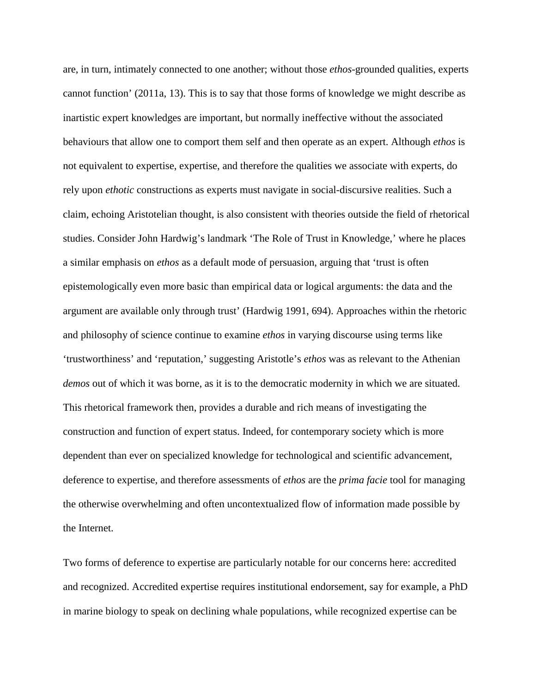are, in turn, intimately connected to one another; without those *ethos*-grounded qualities, experts cannot function' (2011a, 13). This is to say that those forms of knowledge we might describe as inartistic expert knowledges are important, but normally ineffective without the associated behaviours that allow one to comport them self and then operate as an expert. Although *ethos* is not equivalent to expertise, expertise, and therefore the qualities we associate with experts, do rely upon *ethotic* constructions as experts must navigate in social-discursive realities. Such a claim, echoing Aristotelian thought, is also consistent with theories outside the field of rhetorical studies. Consider John Hardwig's landmark 'The Role of Trust in Knowledge,' where he places a similar emphasis on *ethos* as a default mode of persuasion, arguing that 'trust is often epistemologically even more basic than empirical data or logical arguments: the data and the argument are available only through trust' (Hardwig 1991, 694). Approaches within the rhetoric and philosophy of science continue to examine *ethos* in varying discourse using terms like 'trustworthiness' and 'reputation,' suggesting Aristotle's *ethos* was as relevant to the Athenian *demos* out of which it was borne, as it is to the democratic modernity in which we are situated. This rhetorical framework then, provides a durable and rich means of investigating the construction and function of expert status. Indeed, for contemporary society which is more dependent than ever on specialized knowledge for technological and scientific advancement, deference to expertise, and therefore assessments of *ethos* are the *prima facie* tool for managing the otherwise overwhelming and often uncontextualized flow of information made possible by the Internet.

Two forms of deference to expertise are particularly notable for our concerns here: accredited and recognized. Accredited expertise requires institutional endorsement, say for example, a PhD in marine biology to speak on declining whale populations, while recognized expertise can be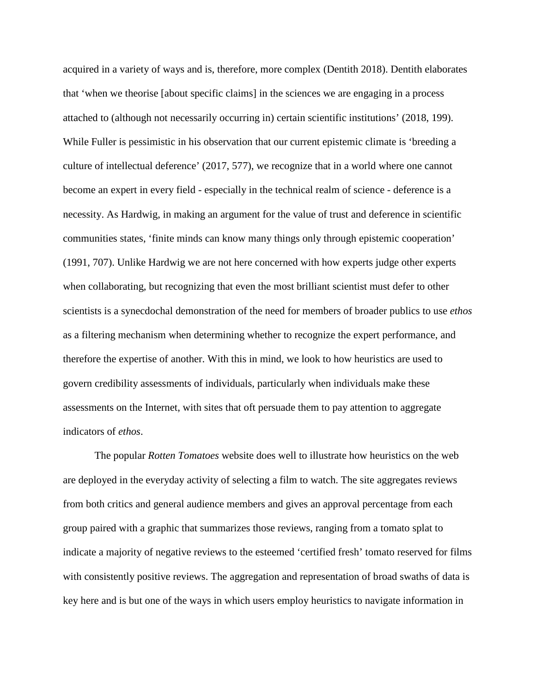acquired in a variety of ways and is, therefore, more complex (Dentith 2018). Dentith elaborates that 'when we theorise [about specific claims] in the sciences we are engaging in a process attached to (although not necessarily occurring in) certain scientific institutions' (2018, 199). While Fuller is pessimistic in his observation that our current epistemic climate is 'breeding a culture of intellectual deference' (2017, 577), we recognize that in a world where one cannot become an expert in every field - especially in the technical realm of science - deference is a necessity. As Hardwig, in making an argument for the value of trust and deference in scientific communities states, 'finite minds can know many things only through epistemic cooperation' (1991, 707). Unlike Hardwig we are not here concerned with how experts judge other experts when collaborating, but recognizing that even the most brilliant scientist must defer to other scientists is a synecdochal demonstration of the need for members of broader publics to use *ethos*  as a filtering mechanism when determining whether to recognize the expert performance, and therefore the expertise of another. With this in mind, we look to how heuristics are used to govern credibility assessments of individuals, particularly when individuals make these assessments on the Internet, with sites that oft persuade them to pay attention to aggregate indicators of *ethos*.

The popular *Rotten Tomatoes* website does well to illustrate how heuristics on the web are deployed in the everyday activity of selecting a film to watch. The site aggregates reviews from both critics and general audience members and gives an approval percentage from each group paired with a graphic that summarizes those reviews, ranging from a tomato splat to indicate a majority of negative reviews to the esteemed 'certified fresh' tomato reserved for films with consistently positive reviews. The aggregation and representation of broad swaths of data is key here and is but one of the ways in which users employ heuristics to navigate information in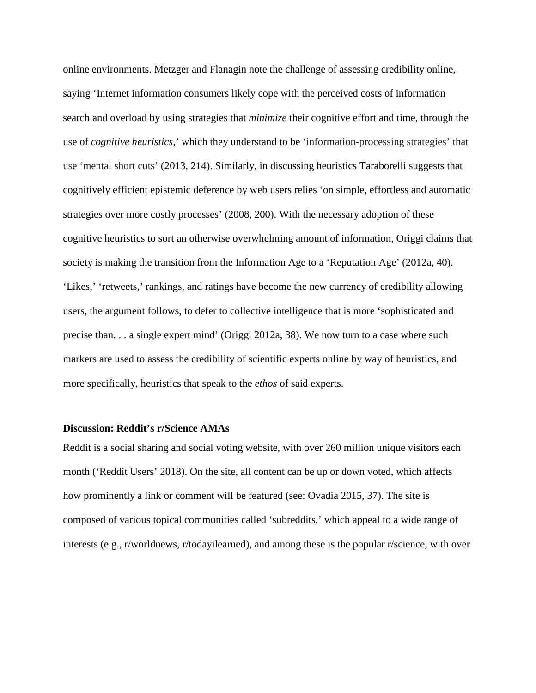online environments. Metzger and Flanagin note the challenge of assessing credibility online, saying 'Internet information consumers likely cope with the perceived costs of information search and overload by using strategies that *minimize* their cognitive effort and time, through the use of *cognitive heuristics,*' which they understand to be 'information-processing strategies' that use 'mental short cuts' (2013, 214). Similarly, in discussing heuristics Taraborelli suggests that cognitively efficient epistemic deference by web users relies 'on simple, effortless and automatic strategies over more costly processes' (2008, 200). With the necessary adoption of these cognitive heuristics to sort an otherwise overwhelming amount of information, Origgi claims that society is making the transition from the Information Age to a 'Reputation Age' (2012a, 40). 'Likes,' 'retweets,' rankings, and ratings have become the new currency of credibility allowing users, the argument follows, to defer to collective intelligence that is more 'sophisticated and precise than. . . a single expert mind' (Origgi 2012a, 38). We now turn to a case where such markers are used to assess the credibility of scientific experts online by way of heuristics, and more specifically, heuristics that speak to the *ethos* of said experts.

## **Discussion: Reddit's r/Science AMAs**

Reddit is a social sharing and social voting website, with over 260 million unique visitors each month ('Reddit Users' 2018). On the site, all content can be up or down voted, which affects how prominently a link or comment will be featured (see: Ovadia 2015, 37). The site is composed of various topical communities called 'subreddits,' which appeal to a wide range of interests (e.g., r/worldnews, r/todayilearned), and among these is the popular r/science, with over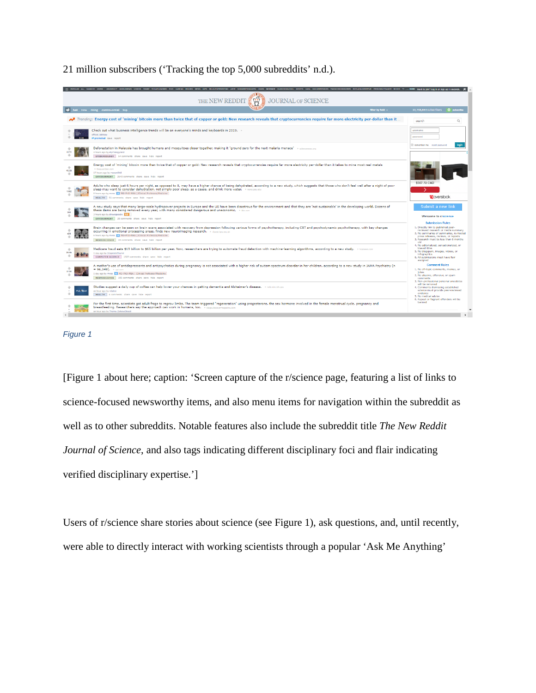21 million subscribers ('Tracking the top 5,000 subreddits' n.d.).



#### *Figure 1*

[Figure 1 about here; caption: 'Screen capture of the r/science page, featuring a list of links to science-focused newsworthy items, and also menu items for navigation within the subreddit as well as to other subreddits. Notable features also include the subreddit title *The New Reddit Journal of Science*, and also tags indicating different disciplinary foci and flair indicating verified disciplinary expertise.']

Users of r/science share stories about science (see Figure 1), ask questions, and, until recently, were able to directly interact with working scientists through a popular 'Ask Me Anything'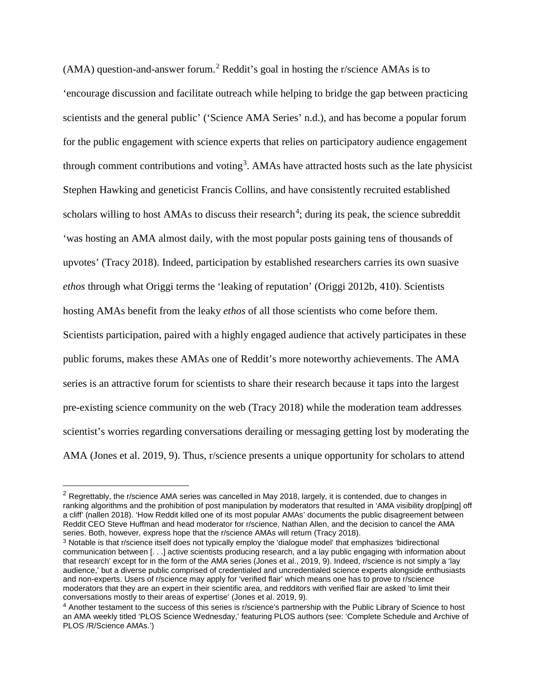$(AMA)$  question-and-answer forum.<sup>[2](#page-10-0)</sup> Reddit's goal in hosting the r/science AMAs is to 'encourage discussion and facilitate outreach while helping to bridge the gap between practicing scientists and the general public' ('Science AMA Series' n.d.), and has become a popular forum for the public engagement with science experts that relies on participatory audience engagement through comment contributions and voting<sup>[3](#page-10-1)</sup>. AMAs have attracted hosts such as the late physicist Stephen Hawking and geneticist Francis Collins, and have consistently recruited established scholars willing to host AMAs to discuss their research<sup>[4](#page-10-2)</sup>; during its peak, the science subreddit 'was hosting an AMA almost daily, with the most popular posts gaining tens of thousands of upvotes' (Tracy 2018). Indeed, participation by established researchers carries its own suasive *ethos* through what Origgi terms the 'leaking of reputation' (Origgi 2012b, 410). Scientists hosting AMAs benefit from the leaky *ethos* of all those scientists who come before them. Scientists participation, paired with a highly engaged audience that actively participates in these public forums, makes these AMAs one of Reddit's more noteworthy achievements. The AMA series is an attractive forum for scientists to share their research because it taps into the largest pre-existing science community on the web (Tracy 2018) while the moderation team addresses scientist's worries regarding conversations derailing or messaging getting lost by moderating the AMA (Jones et al. 2019, 9). Thus, r/science presents a unique opportunity for scholars to attend

<span id="page-10-0"></span><sup>&</sup>lt;sup>2</sup> Regrettably, the r/science AMA series was cancelled in May 2018, largely, it is contended, due to changes in ranking algorithms and the prohibition of post manipulation by moderators that resulted in 'AMA visibility drop[ping] off a cliff' (nallen 2018). 'How Reddit killed one of its most popular AMAs' documents the public disagreement between Reddit CEO Steve Huffman and head moderator for r/science, Nathan Allen, and the decision to cancel the AMA series. Both, however, express hope that the r/science AMAs will return (Tracy 2018).

<span id="page-10-1"></span><sup>3</sup> Notable is that r/science itself does not typically employ the 'dialogue model' that emphasizes 'bidirectional communication between [. . .] active scientists producing research, and a lay public engaging with information about that research' except for in the form of the AMA series (Jones et al., 2019, 9). Indeed, r/science is not simply a 'lay audience,' but a diverse public comprised of credentialed and uncredentialed science experts alongside enthusiasts and non-experts. Users of r/science may apply for 'verified flair' which means one has to prove to r/science moderators that they are an expert in their scientific area, and redditors with verified flair are asked 'to limit their conversations mostly to their areas of expertise' (Jones et al. 2019, 9).

<span id="page-10-2"></span><sup>4</sup> Another testament to the success of this series is r/science's partnership with the Public Library of Science to host an AMA weekly titled 'PLOS Science Wednesday,' featuring PLOS authors (see: 'Complete Schedule and Archive of PLOS /R/Science AMAs.')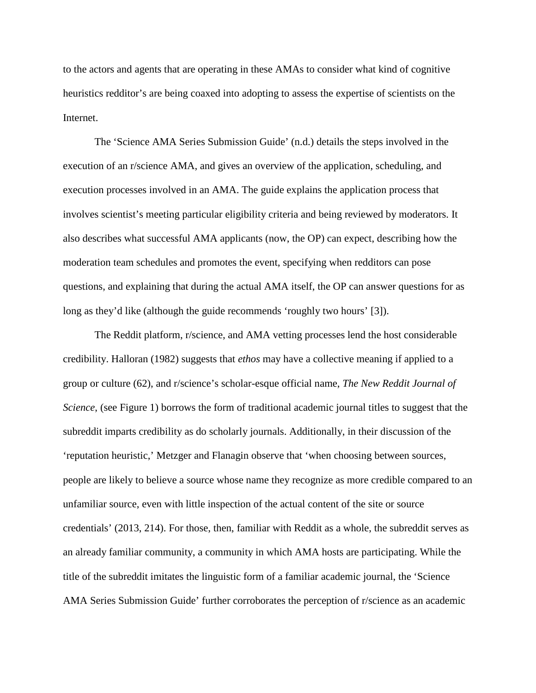to the actors and agents that are operating in these AMAs to consider what kind of cognitive heuristics redditor's are being coaxed into adopting to assess the expertise of scientists on the Internet.

The 'Science AMA Series Submission Guide' (n.d.) details the steps involved in the execution of an r/science AMA, and gives an overview of the application, scheduling, and execution processes involved in an AMA. The guide explains the application process that involves scientist's meeting particular eligibility criteria and being reviewed by moderators. It also describes what successful AMA applicants (now, the OP) can expect, describing how the moderation team schedules and promotes the event, specifying when redditors can pose questions, and explaining that during the actual AMA itself, the OP can answer questions for as long as they'd like (although the guide recommends 'roughly two hours' [3]).

The Reddit platform, r/science, and AMA vetting processes lend the host considerable credibility. Halloran (1982) suggests that *ethos* may have a collective meaning if applied to a group or culture (62), and r/science's scholar-esque official name, *The New Reddit Journal of Science*, (see Figure 1) borrows the form of traditional academic journal titles to suggest that the subreddit imparts credibility as do scholarly journals. Additionally, in their discussion of the 'reputation heuristic,' Metzger and Flanagin observe that 'when choosing between sources, people are likely to believe a source whose name they recognize as more credible compared to an unfamiliar source, even with little inspection of the actual content of the site or source credentials' (2013, 214). For those, then, familiar with Reddit as a whole, the subreddit serves as an already familiar community, a community in which AMA hosts are participating. While the title of the subreddit imitates the linguistic form of a familiar academic journal, the 'Science AMA Series Submission Guide' further corroborates the perception of r/science as an academic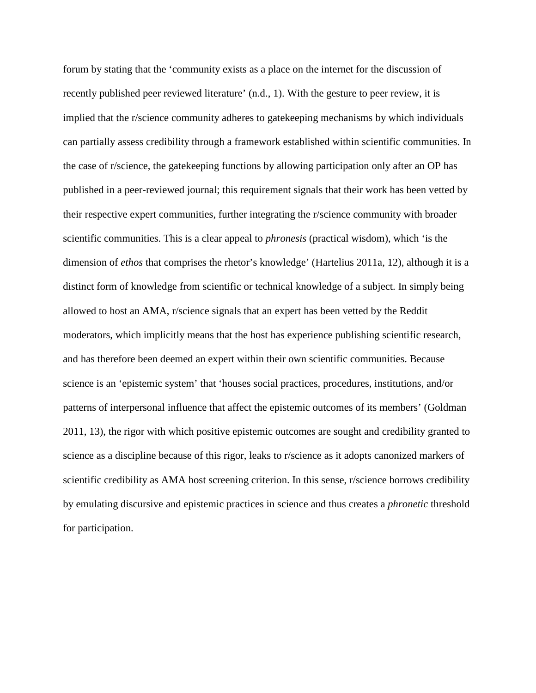forum by stating that the 'community exists as a place on the internet for the discussion of recently published peer reviewed literature' (n.d., 1). With the gesture to peer review, it is implied that the r/science community adheres to gatekeeping mechanisms by which individuals can partially assess credibility through a framework established within scientific communities. In the case of r/science, the gatekeeping functions by allowing participation only after an OP has published in a peer-reviewed journal; this requirement signals that their work has been vetted by their respective expert communities, further integrating the r/science community with broader scientific communities. This is a clear appeal to *phronesis* (practical wisdom), which 'is the dimension of *ethos* that comprises the rhetor's knowledge' (Hartelius 2011a, 12), although it is a distinct form of knowledge from scientific or technical knowledge of a subject. In simply being allowed to host an AMA, r/science signals that an expert has been vetted by the Reddit moderators, which implicitly means that the host has experience publishing scientific research, and has therefore been deemed an expert within their own scientific communities. Because science is an 'epistemic system' that 'houses social practices, procedures, institutions, and/or patterns of interpersonal influence that affect the epistemic outcomes of its members' (Goldman 2011, 13), the rigor with which positive epistemic outcomes are sought and credibility granted to science as a discipline because of this rigor, leaks to r/science as it adopts canonized markers of scientific credibility as AMA host screening criterion. In this sense, r/science borrows credibility by emulating discursive and epistemic practices in science and thus creates a *phronetic* threshold for participation.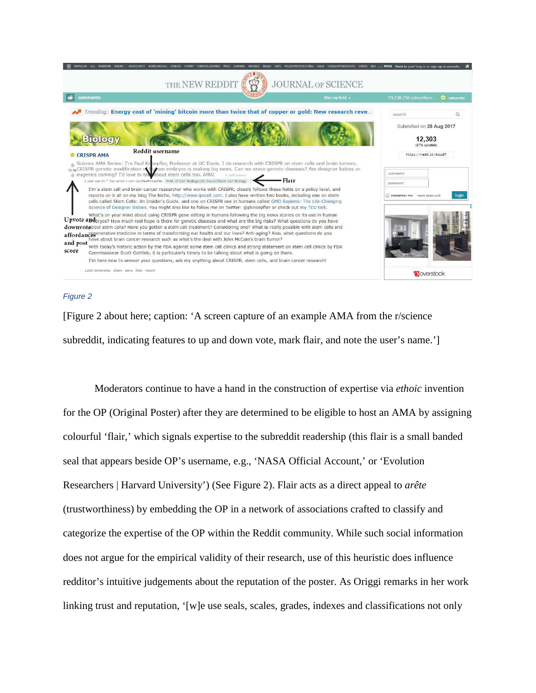

#### *Figure 2*

[Figure 2 about here; caption: 'A screen capture of an example AMA from the r/science subreddit, indicating features to up and down vote, mark flair, and note the user's name.']

Moderators continue to have a hand in the construction of expertise via *ethoic* invention for the OP (Original Poster) after they are determined to be eligible to host an AMA by assigning colourful 'flair,' which signals expertise to the subreddit readership (this flair is a small banded seal that appears beside OP's username, e.g., 'NASA Official Account,' or 'Evolution Researchers | Harvard University') (See Figure 2). Flair acts as a direct appeal to *arête*  (trustworthiness) by embedding the OP in a network of associations crafted to classify and categorize the expertise of the OP within the Reddit community. While such social information does not argue for the empirical validity of their research, use of this heuristic does influence redditor's intuitive judgements about the reputation of the poster. As Origgi remarks in her work linking trust and reputation, '[w]e use seals, scales, grades, indexes and classifications not only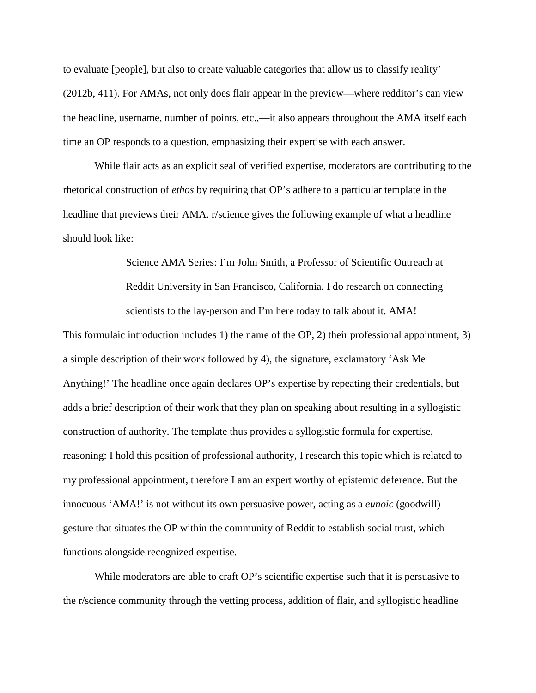to evaluate [people], but also to create valuable categories that allow us to classify reality' (2012b, 411). For AMAs, not only does flair appear in the preview—where redditor's can view the headline, username, number of points, etc.,—it also appears throughout the AMA itself each time an OP responds to a question, emphasizing their expertise with each answer.

While flair acts as an explicit seal of verified expertise, moderators are contributing to the rhetorical construction of *ethos* by requiring that OP's adhere to a particular template in the headline that previews their AMA. r/science gives the following example of what a headline should look like:

> Science AMA Series: I'm John Smith, a Professor of Scientific Outreach at Reddit University in San Francisco, California. I do research on connecting scientists to the lay-person and I'm here today to talk about it. AMA!

This formulaic introduction includes 1) the name of the OP, 2) their professional appointment, 3) a simple description of their work followed by 4), the signature, exclamatory 'Ask Me Anything!' The headline once again declares OP's expertise by repeating their credentials, but adds a brief description of their work that they plan on speaking about resulting in a syllogistic construction of authority. The template thus provides a syllogistic formula for expertise, reasoning: I hold this position of professional authority, I research this topic which is related to my professional appointment, therefore I am an expert worthy of epistemic deference. But the innocuous 'AMA!' is not without its own persuasive power, acting as a *eunoic* (goodwill) gesture that situates the OP within the community of Reddit to establish social trust, which functions alongside recognized expertise.

While moderators are able to craft OP's scientific expertise such that it is persuasive to the r/science community through the vetting process, addition of flair, and syllogistic headline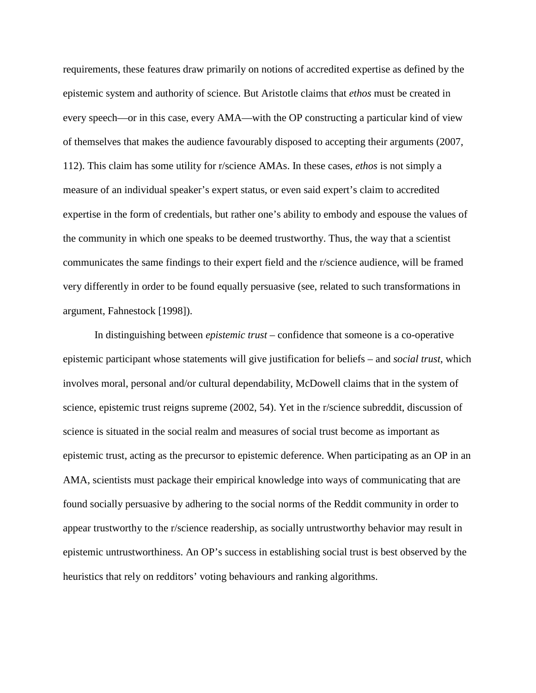requirements, these features draw primarily on notions of accredited expertise as defined by the epistemic system and authority of science. But Aristotle claims that *ethos* must be created in every speech—or in this case, every AMA—with the OP constructing a particular kind of view of themselves that makes the audience favourably disposed to accepting their arguments (2007, 112). This claim has some utility for r/science AMAs. In these cases, *ethos* is not simply a measure of an individual speaker's expert status, or even said expert's claim to accredited expertise in the form of credentials, but rather one's ability to embody and espouse the values of the community in which one speaks to be deemed trustworthy. Thus, the way that a scientist communicates the same findings to their expert field and the r/science audience, will be framed very differently in order to be found equally persuasive (see, related to such transformations in argument, Fahnestock [1998]).

In distinguishing between *epistemic trust* – confidence that someone is a co-operative epistemic participant whose statements will give justification for beliefs – and *social trust*, which involves moral, personal and/or cultural dependability, McDowell claims that in the system of science, epistemic trust reigns supreme (2002, 54). Yet in the r/science subreddit, discussion of science is situated in the social realm and measures of social trust become as important as epistemic trust, acting as the precursor to epistemic deference. When participating as an OP in an AMA, scientists must package their empirical knowledge into ways of communicating that are found socially persuasive by adhering to the social norms of the Reddit community in order to appear trustworthy to the r/science readership, as socially untrustworthy behavior may result in epistemic untrustworthiness. An OP's success in establishing social trust is best observed by the heuristics that rely on redditors' voting behaviours and ranking algorithms.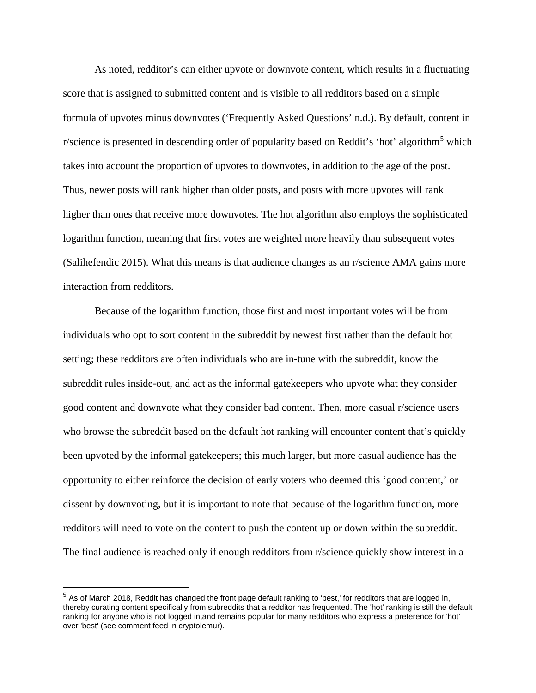As noted, redditor's can either upvote or downvote content, which results in a fluctuating score that is assigned to submitted content and is visible to all redditors based on a simple formula of upvotes minus downvotes ('Frequently Asked Questions' n.d.). By default, content in r/science is presented in descending order of popularity based on Reddit's 'hot' algorithm<sup>[5](#page-16-0)</sup> which takes into account the proportion of upvotes to downvotes, in addition to the age of the post. Thus, newer posts will rank higher than older posts, and posts with more upvotes will rank higher than ones that receive more downvotes. The hot algorithm also employs the sophisticated logarithm function, meaning that first votes are weighted more heavily than subsequent votes (Salihefendic 2015). What this means is that audience changes as an r/science AMA gains more interaction from redditors.

Because of the logarithm function, those first and most important votes will be from individuals who opt to sort content in the subreddit by newest first rather than the default hot setting; these redditors are often individuals who are in-tune with the subreddit, know the subreddit rules inside-out, and act as the informal gatekeepers who upvote what they consider good content and downvote what they consider bad content. Then, more casual r/science users who browse the subreddit based on the default hot ranking will encounter content that's quickly been upvoted by the informal gatekeepers; this much larger, but more casual audience has the opportunity to either reinforce the decision of early voters who deemed this 'good content,' or dissent by downvoting, but it is important to note that because of the logarithm function, more redditors will need to vote on the content to push the content up or down within the subreddit. The final audience is reached only if enough redditors from r/science quickly show interest in a

<span id="page-16-0"></span> $5$  As of March 2018, Reddit has changed the front page default ranking to 'best,' for redditors that are logged in, thereby curating content specifically from subreddits that a redditor has frequented. The 'hot' ranking is still the default ranking for anyone who is not logged in,and remains popular for many redditors who express a preference for 'hot' over 'best' (see comment feed in cryptolemur).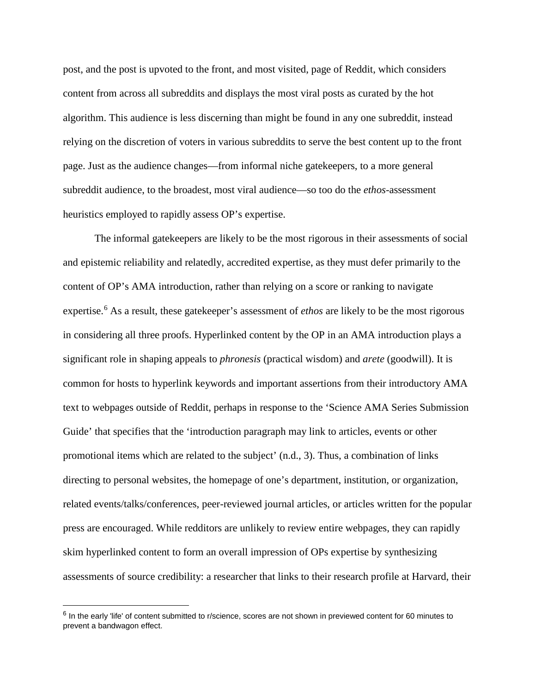post, and the post is upvoted to the front, and most visited, page of Reddit, which considers content from across all subreddits and displays the most viral posts as curated by the hot algorithm. This audience is less discerning than might be found in any one subreddit, instead relying on the discretion of voters in various subreddits to serve the best content up to the front page. Just as the audience changes—from informal niche gatekeepers, to a more general subreddit audience, to the broadest, most viral audience—so too do the *ethos*-assessment heuristics employed to rapidly assess OP's expertise.

The informal gatekeepers are likely to be the most rigorous in their assessments of social and epistemic reliability and relatedly, accredited expertise, as they must defer primarily to the content of OP's AMA introduction, rather than relying on a score or ranking to navigate expertise.<sup>[6](#page-17-0)</sup> As a result, these gatekeeper's assessment of *ethos* are likely to be the most rigorous in considering all three proofs. Hyperlinked content by the OP in an AMA introduction plays a significant role in shaping appeals to *phronesis* (practical wisdom) and *arete* (goodwill). It is common for hosts to hyperlink keywords and important assertions from their introductory AMA text to webpages outside of Reddit, perhaps in response to the 'Science AMA Series Submission Guide' that specifies that the 'introduction paragraph may link to articles, events or other promotional items which are related to the subject' (n.d., 3). Thus, a combination of links directing to personal websites, the homepage of one's department, institution, or organization, related events/talks/conferences, peer-reviewed journal articles, or articles written for the popular press are encouraged. While redditors are unlikely to review entire webpages, they can rapidly skim hyperlinked content to form an overall impression of OPs expertise by synthesizing assessments of source credibility: a researcher that links to their research profile at Harvard, their

<span id="page-17-0"></span><sup>&</sup>lt;sup>6</sup> In the early 'life' of content submitted to r/science, scores are not shown in previewed content for 60 minutes to prevent a bandwagon effect.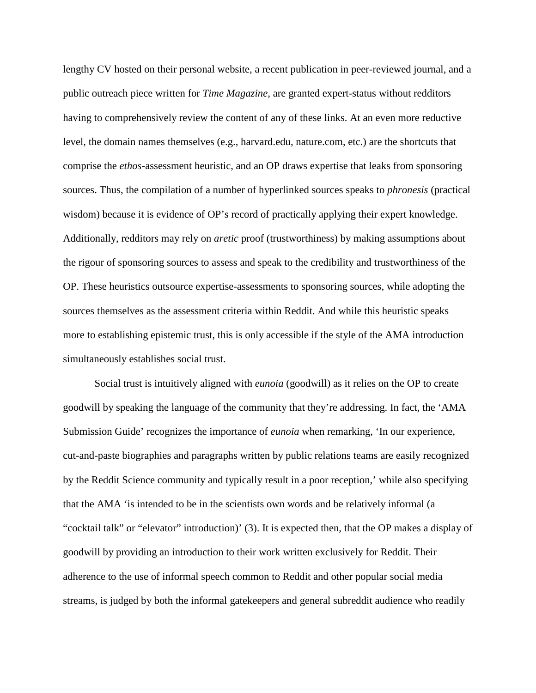lengthy CV hosted on their personal website, a recent publication in peer-reviewed journal, and a public outreach piece written for *Time Magazine,* are granted expert-status without redditors having to comprehensively review the content of any of these links. At an even more reductive level, the domain names themselves (e.g., harvard.edu, nature.com, etc.) are the shortcuts that comprise the *ethos*-assessment heuristic, and an OP draws expertise that leaks from sponsoring sources. Thus, the compilation of a number of hyperlinked sources speaks to *phronesis* (practical wisdom) because it is evidence of OP's record of practically applying their expert knowledge. Additionally, redditors may rely on *aretic* proof (trustworthiness) by making assumptions about the rigour of sponsoring sources to assess and speak to the credibility and trustworthiness of the OP. These heuristics outsource expertise-assessments to sponsoring sources, while adopting the sources themselves as the assessment criteria within Reddit. And while this heuristic speaks more to establishing epistemic trust, this is only accessible if the style of the AMA introduction simultaneously establishes social trust.

Social trust is intuitively aligned with *eunoia* (goodwill) as it relies on the OP to create goodwill by speaking the language of the community that they're addressing. In fact, the 'AMA Submission Guide' recognizes the importance of *eunoia* when remarking, 'In our experience, cut-and-paste biographies and paragraphs written by public relations teams are easily recognized by the Reddit Science community and typically result in a poor reception,' while also specifying that the AMA 'is intended to be in the scientists own words and be relatively informal (a "cocktail talk" or "elevator" introduction)' (3). It is expected then, that the OP makes a display of goodwill by providing an introduction to their work written exclusively for Reddit. Their adherence to the use of informal speech common to Reddit and other popular social media streams, is judged by both the informal gatekeepers and general subreddit audience who readily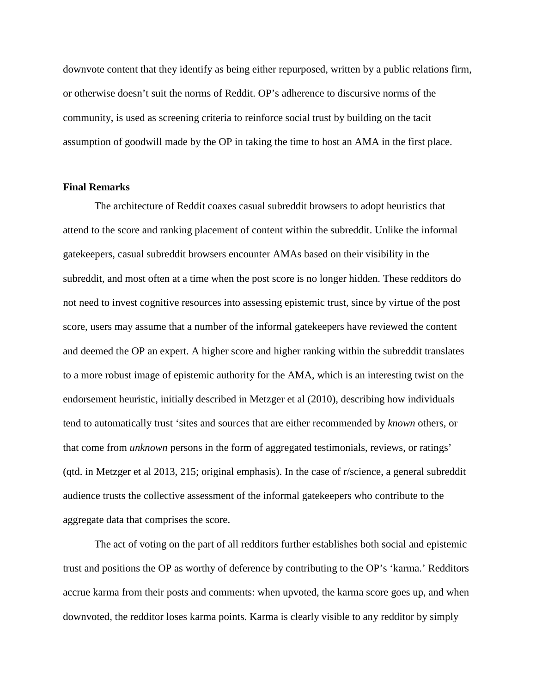downvote content that they identify as being either repurposed, written by a public relations firm, or otherwise doesn't suit the norms of Reddit. OP's adherence to discursive norms of the community, is used as screening criteria to reinforce social trust by building on the tacit assumption of goodwill made by the OP in taking the time to host an AMA in the first place.

#### **Final Remarks**

The architecture of Reddit coaxes casual subreddit browsers to adopt heuristics that attend to the score and ranking placement of content within the subreddit. Unlike the informal gatekeepers, casual subreddit browsers encounter AMAs based on their visibility in the subreddit, and most often at a time when the post score is no longer hidden. These redditors do not need to invest cognitive resources into assessing epistemic trust, since by virtue of the post score, users may assume that a number of the informal gatekeepers have reviewed the content and deemed the OP an expert. A higher score and higher ranking within the subreddit translates to a more robust image of epistemic authority for the AMA, which is an interesting twist on the endorsement heuristic, initially described in Metzger et al (2010), describing how individuals tend to automatically trust 'sites and sources that are either recommended by *known* others, or that come from *unknown* persons in the form of aggregated testimonials, reviews, or ratings' (qtd. in Metzger et al 2013, 215; original emphasis). In the case of r/science, a general subreddit audience trusts the collective assessment of the informal gatekeepers who contribute to the aggregate data that comprises the score.

The act of voting on the part of all redditors further establishes both social and epistemic trust and positions the OP as worthy of deference by contributing to the OP's 'karma.' Redditors accrue karma from their posts and comments: when upvoted, the karma score goes up, and when downvoted, the redditor loses karma points. Karma is clearly visible to any redditor by simply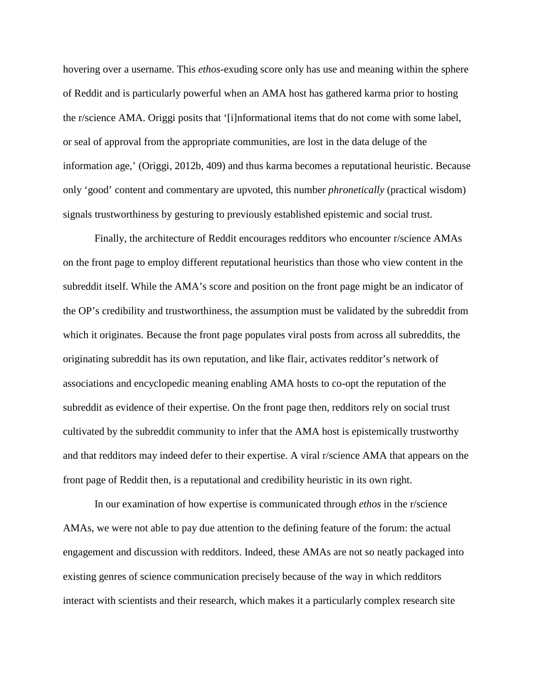hovering over a username. This *ethos*-exuding score only has use and meaning within the sphere of Reddit and is particularly powerful when an AMA host has gathered karma prior to hosting the r/science AMA. Origgi posits that '[i]nformational items that do not come with some label, or seal of approval from the appropriate communities, are lost in the data deluge of the information age,' (Origgi, 2012b, 409) and thus karma becomes a reputational heuristic. Because only 'good' content and commentary are upvoted, this number *phronetically* (practical wisdom) signals trustworthiness by gesturing to previously established epistemic and social trust.

Finally, the architecture of Reddit encourages redditors who encounter r/science AMAs on the front page to employ different reputational heuristics than those who view content in the subreddit itself. While the AMA's score and position on the front page might be an indicator of the OP's credibility and trustworthiness, the assumption must be validated by the subreddit from which it originates. Because the front page populates viral posts from across all subreddits, the originating subreddit has its own reputation, and like flair, activates redditor's network of associations and encyclopedic meaning enabling AMA hosts to co-opt the reputation of the subreddit as evidence of their expertise. On the front page then, redditors rely on social trust cultivated by the subreddit community to infer that the AMA host is epistemically trustworthy and that redditors may indeed defer to their expertise. A viral r/science AMA that appears on the front page of Reddit then, is a reputational and credibility heuristic in its own right.

In our examination of how expertise is communicated through *ethos* in the r/science AMAs, we were not able to pay due attention to the defining feature of the forum: the actual engagement and discussion with redditors. Indeed, these AMAs are not so neatly packaged into existing genres of science communication precisely because of the way in which redditors interact with scientists and their research, which makes it a particularly complex research site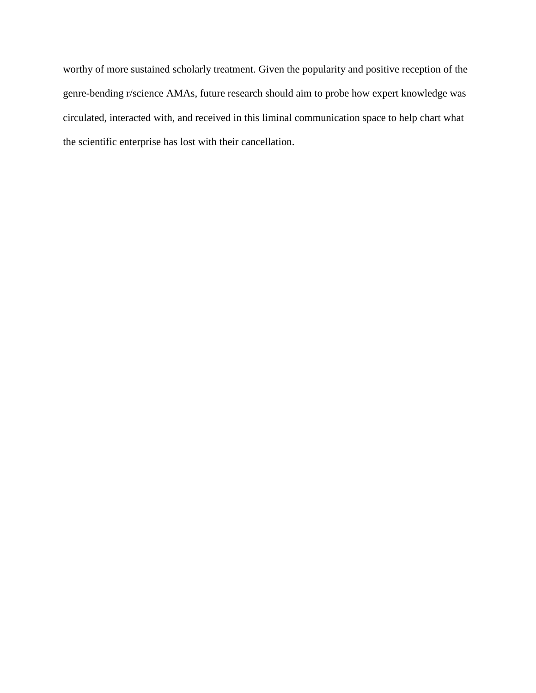worthy of more sustained scholarly treatment. Given the popularity and positive reception of the genre-bending r/science AMAs, future research should aim to probe how expert knowledge was circulated, interacted with, and received in this liminal communication space to help chart what the scientific enterprise has lost with their cancellation.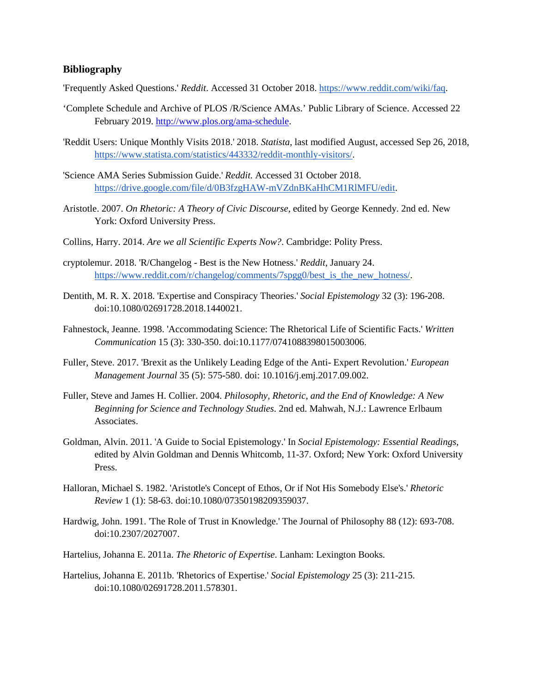### **Bibliography**

'Frequently Asked Questions.' *Reddit*. Accessed 31 October 2018[. https://www.reddit.com/wiki/faq.](https://www.reddit.com/wiki/faq)

- 'Complete Schedule and Archive of PLOS /R/Science AMAs.' Public Library of Science. Accessed 22 February 2019. [http://www.plos.org/ama-schedule.](http://www.plos.org/ama-schedule)
- 'Reddit Users: Unique Monthly Visits 2018.' 2018. *Statista*, last modified August, accessed Sep 26, 2018, [https://www.statista.com/statistics/443332/reddit-monthly-visitors/.](https://www.statista.com/statistics/443332/reddit-monthly-visitors/)
- 'Science AMA Series Submission Guide.' *Reddit.* Accessed 31 October 2018. [https://drive.google.com/file/d/0B3fzgHAW-mVZdnBKaHhCM1RlMFU/edit.](https://drive.google.com/file/d/0B3fzgHAW-mVZdnBKaHhCM1RlMFU/edit)
- Aristotle. 2007. *On Rhetoric: A Theory of Civic Discourse*, edited by George Kennedy. 2nd ed. New York: Oxford University Press.
- Collins, Harry. 2014. *Are we all Scientific Experts Now?*. Cambridge: Polity Press.
- cryptolemur. 2018. 'R/Changelog Best is the New Hotness.' *Reddit*, January 24. [https://www.reddit.com/r/changelog/comments/7spgg0/best\\_is\\_the\\_new\\_hotness/.](https://www.reddit.com/r/changelog/comments/7spgg0/best_is_the_new_hotness/)
- Dentith, M. R. X. 2018. 'Expertise and Conspiracy Theories.' *Social Epistemology* 32 (3): 196-208. doi:10.1080/02691728.2018.1440021.
- Fahnestock, Jeanne. 1998. 'Accommodating Science: The Rhetorical Life of Scientific Facts.' *Written Communication* 15 (3): 330-350. doi:10.1177/0741088398015003006.
- Fuller, Steve. 2017. 'Brexit as the Unlikely Leading Edge of the Anti- Expert Revolution.' *European Management Journal* 35 (5): 575-580. doi: 10.1016/j.emj.2017.09.002.
- Fuller, Steve and James H. Collier. 2004. *Philosophy, Rhetoric, and the End of Knowledge: A New Beginning for Science and Technology Studies*. 2nd ed. Mahwah, N.J.: Lawrence Erlbaum Associates.
- Goldman, Alvin. 2011. 'A Guide to Social Epistemology.' In *Social Epistemology: Essential Readings*, edited by Alvin Goldman and Dennis Whitcomb, 11-37. Oxford; New York: Oxford University Press.
- Halloran, Michael S. 1982. 'Aristotle's Concept of Ethos, Or if Not His Somebody Else's.' *Rhetoric Review* 1 (1): 58-63. doi:10.1080/07350198209359037.
- Hardwig, John. 1991. 'The Role of Trust in Knowledge.' The Journal of Philosophy 88 (12): 693-708. doi:10.2307/2027007.
- Hartelius, Johanna E. 2011a. *The Rhetoric of Expertise*. Lanham: Lexington Books.
- Hartelius, Johanna E. 2011b. 'Rhetorics of Expertise.' *Social Epistemology* 25 (3): 211-215. doi:10.1080/02691728.2011.578301.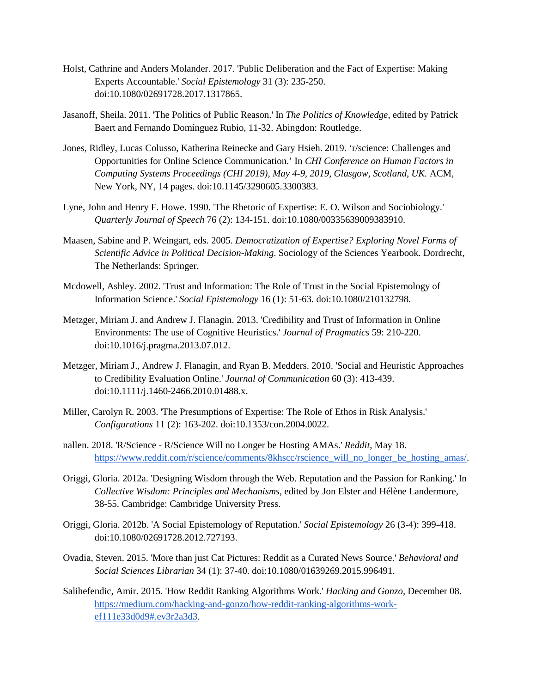- Holst, Cathrine and Anders Molander. 2017. 'Public Deliberation and the Fact of Expertise: Making Experts Accountable.' *Social Epistemology* 31 (3): 235-250. doi:10.1080/02691728.2017.1317865.
- Jasanoff, Sheila. 2011. 'The Politics of Public Reason.' In *The Politics of Knowledge*, edited by Patrick Baert and Fernando Domínguez Rubio, 11-32. Abingdon: Routledge.
- Jones, Ridley, Lucas Colusso, Katherina Reinecke and Gary Hsieh. 2019. 'r/science: Challenges and Opportunities for Online Science Communication.' In *CHI Conference on Human Factors in Computing Systems Proceedings (CHI 2019), May 4-9, 2019, Glasgow, Scotland, UK. ACM,* New York, NY, 14 pages. doi:10.1145/3290605.3300383.
- Lyne, John and Henry F. Howe. 1990. 'The Rhetoric of Expertise: E. O. Wilson and Sociobiology.' *Quarterly Journal of Speech* 76 (2): 134-151. doi:10.1080/00335639009383910.
- Maasen, Sabine and P. Weingart, eds. 2005. *Democratization of Expertise? Exploring Novel Forms of Scientific Advice in Political Decision-Making*. Sociology of the Sciences Yearbook. Dordrecht, The Netherlands: Springer.
- Mcdowell, Ashley. 2002. 'Trust and Information: The Role of Trust in the Social Epistemology of Information Science.' *Social Epistemology* 16 (1): 51-63. doi:10.1080/210132798.
- Metzger, Miriam J. and Andrew J. Flanagin. 2013. 'Credibility and Trust of Information in Online Environments: The use of Cognitive Heuristics.' *Journal of Pragmatics* 59: 210-220. doi:10.1016/j.pragma.2013.07.012.
- Metzger, Miriam J., Andrew J. Flanagin, and Ryan B. Medders. 2010. 'Social and Heuristic Approaches to Credibility Evaluation Online.' *Journal of Communication* 60 (3): 413-439. doi:10.1111/j.1460-2466.2010.01488.x.
- Miller, Carolyn R. 2003. 'The Presumptions of Expertise: The Role of Ethos in Risk Analysis.' *Configurations* 11 (2): 163-202. doi:10.1353/con.2004.0022.
- nallen. 2018. 'R/Science R/Science Will no Longer be Hosting AMAs.' *Reddit*, May 18. [https://www.reddit.com/r/science/comments/8khscc/rscience\\_will\\_no\\_longer\\_be\\_hosting\\_amas/.](https://www.reddit.com/r/science/comments/8khscc/rscience_will_no_longer_be_hosting_amas/)
- Origgi, Gloria. 2012a. 'Designing Wisdom through the Web. Reputation and the Passion for Ranking.' In *Collective Wisdom: Principles and Mechanisms*, edited by Jon Elster and Hélène Landermore, 38-55. Cambridge: Cambridge University Press.
- Origgi, Gloria. 2012b. 'A Social Epistemology of Reputation.' *Social Epistemology* 26 (3-4): 399-418. doi:10.1080/02691728.2012.727193.
- Ovadia, Steven. 2015. 'More than just Cat Pictures: Reddit as a Curated News Source.' *Behavioral and Social Sciences Librarian* 34 (1): 37-40. doi:10.1080/01639269.2015.996491.
- Salihefendic, Amir. 2015. 'How Reddit Ranking Algorithms Work.' *Hacking and Gonzo*, December 08. [https://medium.com/hacking-and-gonzo/how-reddit-ranking-algorithms-work](https://medium.com/hacking-and-gonzo/how-reddit-ranking-algorithms-work-ef111e33d0d9#.ev3r2a3d3)[ef111e33d0d9#.ev3r2a3d3.](https://medium.com/hacking-and-gonzo/how-reddit-ranking-algorithms-work-ef111e33d0d9#.ev3r2a3d3)